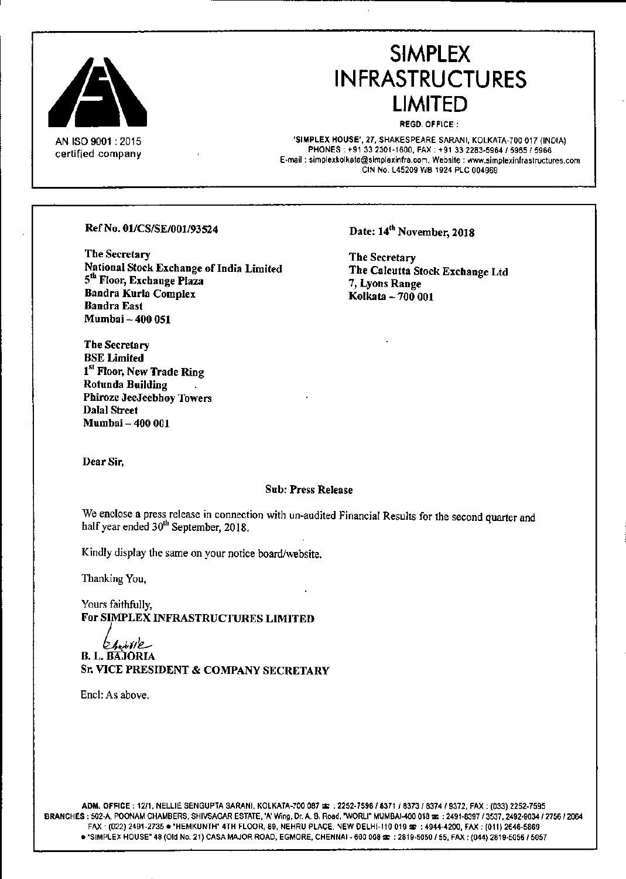

ANISO9001 : 2015 certified company

# SIMPLEX INFRASTRUCTURES LIMITED

REGD. OFFICE:

'SIMPLEX HOUSE', 27, SHAKESPEARE SARANI, KOLKATA-700 017 (INDIA) PHONES: +91 33 2301-1600, FAX: +91 33 2283-5964 / 5965 / 5966 E.mail: [simplexkolkala@slmplexinfra.con.](mailto:simplexkolkala@slmplexinfra.con.) Wehsite : ••••ww.simplexinfraslruclures.com GIN NO.l45209 WB 1924 PlC 004969

Ref No. 01/CS/SE/001/93524

The Secretary National Stock Exchange of India Limited 5<sup>th</sup> Floor, Exchange Plaza Bandra Kurla Complex Bandra East Mumhai - 400 051

Date: 14<sup>th</sup> November, 2018

The Secretary The Calcutta Stock Exchange Ltd 7, Lyons Range Kolkata - 700 001

Dear Sir,

Dalal Street Mumbai - 400 001

The Secretary BSE Limited

Rotunda Building

1<sup>st</sup> Floor, New Trade Ring

Phiroze JeeJeebhoy Towers

#### Sub: Press Release

We enclose a press release in connection with un-audited Financial Results for the second quarter and half year ended  $30<sup>th</sup>$  September, 2018.

Kindly display the same on your notice board/website.

Thanking You,

Yours faithfully, For SIMPLEX INFRASTRUCTURES LIMITED

*~.,.(/'e.--* B. L. BAJORlA Sr. VICE PRESIDENT & COMPANY SECRETARY

Encl: As above.

ADM. OFI"ICE: 12/1. NELLIE SENGUPTA SARANI. KOLKATA-Joo 067 ~ *.2252-7596/837118373/8374/9372,* FAX: (C33) 2252-7595 BRANCHES: 502-A, POONAM CHAMBERS. SHIVSAGAR ESTATE. 'A' Wing. Dr. A. B. Road, "WORU. MUMBAI-400 018 m : 2491-8397 /3537, *2492-9034/2756/2064* FAX (022) 2491-2735 . "HEMKUNTH" 4TH FLOOR, 89, NEHRU PLACE, 'NEW DELHI-110 019 32 : 4944-4200, FAX: (011) 2646-5869  $\bullet$  "SIMPLEX HOUSE" 48 (Old No. 21) CASA MAJOR ROAD, EGMORE, CHENNAI - 600 008 \$ : 2819-5050 / 55, FAX: (044) 2819-5056 / 5057